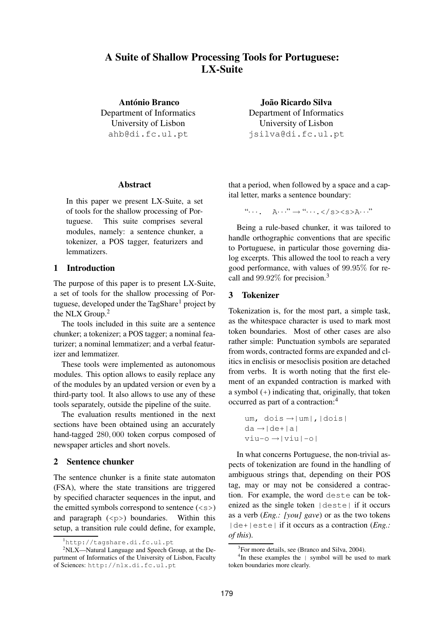# **A Suite of Shallow Processing Tools for Portuguese: LX-Suite**

**Antonio Branco ´** Department of Informatics University of Lisbon ahb@di.fc.ul.pt

**Abstract**

In this paper we present LX-Suite, a set of tools for the shallow processing of Portuguese. This suite comprises several modules, namely: a sentence chunker, a tokenizer, a POS tagger, featurizers and lemmatizers.

## **1 Introduction**

The purpose of this paper is to present LX-Suite, a set of tools for the shallow processing of Portuguese, developed under the  $TagShare<sup>1</sup>$  project by the NLX Group.<sup>2</sup>

The tools included in this suite are a sentence chunker; a tokenizer; a POS tagger; a nominal featurizer; a nominal lemmatizer; and a verbal featurizer and lemmatizer.

These tools were implemented as autonomous modules. This option allows to easily replace any of the modules by an updated version or even by a third-party tool. It also allows to use any of these tools separately, outside the pipeline of the suite.

The evaluation results mentioned in the next sections have been obtained using an accurately hand-tagged <sup>280</sup>, <sup>000</sup> token corpus composed of newspaper articles and short novels.

### **2 Sentence chunker**

The sentence chunker is a finite state automaton (FSA), where the state transitions are triggered by specified character sequences in the input, and the emitted symbols correspond to sentence  $(\langle s \rangle)$ and paragraph  $(\langle p \rangle)$  boundaries. Within this setup, a transition rule could define, for example,

**Joao Ricardo Silva ˜** Department of Informatics University of Lisbon jsilva@di.fc.ul.pt

that a period, when followed by a space and a capital letter, marks a sentence boundary:

" $\cdots$ ,  $\mathbb{A} \cdots$ " $\rightarrow$  " $\cdots$ , </s><s>A $\cdots$ "

Being a rule-based chunker, it was tailored to handle orthographic conventions that are specific to Portuguese, in particular those governing dialog excerpts. This allowed the tool to reach a very good performance, with values of <sup>99</sup>.95% for recall and <sup>99</sup>.92% for precision.<sup>3</sup>

#### **3 Tokenizer**

Tokenization is, for the most part, a simple task, as the whitespace character is used to mark most token boundaries. Most of other cases are also rather simple: Punctuation symbols are separated from words, contracted forms are expanded and clitics in enclisis or mesoclisis position are detached from verbs. It is worth noting that the first element of an expanded contraction is marked with a symbol (+) indicating that, originally, that token occurred as part of a contraction:<sup>4</sup>

```
um, dois →|um|,|dois|
da \rightarrow |de + |a|viu-o \rightarrow |viu|-o|
```
In what concerns Portuguese, the non-trivial aspects of tokenization are found in the handling of ambiguous strings that, depending on their POS tag, may or may not be considered a contraction. For example, the word deste can be tokenized as the single token  $|\text{deste}|$  if it occurs as a verb (*Eng.: [you] gave*) or as the two tokens |de+|este| if it occurs as a contraction (*Eng.: of this*).

<sup>&</sup>lt;sup>1</sup>http://tagshare.di.fc.ul.pt

 $2NLX$ —Natural Language and Speech Group, at the Department of Informatics of the University of Lisbon, Faculty of Sciences: http://nlx.di.fc.ul.pt

<sup>&</sup>lt;sup>3</sup>For more details, see (Branco and Silva, 2004).

<sup>&</sup>lt;sup>4</sup>In these examples the | symbol will be used to mark token boundaries more clearly.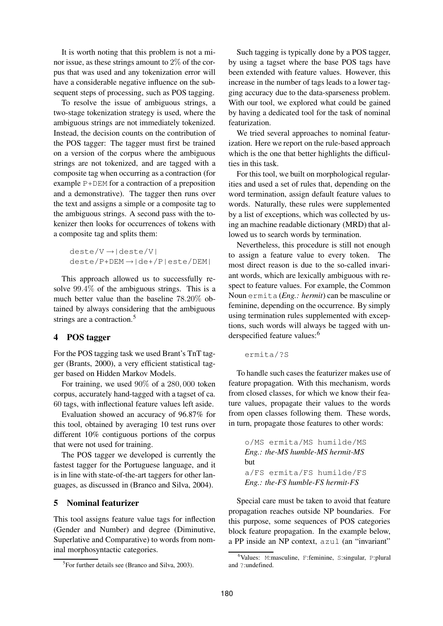It is worth noting that this problem is not a minor issue, as these strings amount to 2% of the corpus that was used and any tokenization error will have a considerable negative influence on the subsequent steps of processing, such as POS tagging.

To resolve the issue of ambiguous strings, a two-stage tokenization strategy is used, where the ambiguous strings are not immediately tokenized. Instead, the decision counts on the contribution of the POS tagger: The tagger must first be trained on a version of the corpus where the ambiguous strings are not tokenized, and are tagged with a composite tag when occurring as a contraction (for example P+DEM for a contraction of a preposition and a demonstrative). The tagger then runs over the text and assigns a simple or a composite tag to the ambiguous strings. A second pass with the tokenizer then looks for occurrences of tokens with a composite tag and splits them:

 $deste/V \rightarrow |deste/V|$ deste/P+DEM →|de+/P|este/DEM|

This approach allowed us to successfully resolve <sup>99</sup>.4% of the ambiguous strings. This is a much better value than the baseline <sup>78</sup>.20% obtained by always considering that the ambiguous strings are a contraction.<sup>5</sup>

# **4 POS tagger**

For the POS tagging task we used Brant's TnT tagger (Brants, 2000), a very efficient statistical tagger based on Hidden Markov Models.

For training, we used 90% of a <sup>280</sup>, <sup>000</sup> token corpus, accurately hand-tagged with a tagset of ca. 60 tags, with inflectional feature values left aside.

Evaluation showed an accuracy of 96.87% for this tool, obtained by averaging 10 test runs over different 10% contiguous portions of the corpus that were not used for training.

The POS tagger we developed is currently the fastest tagger for the Portuguese language, and it is in line with state-of-the-art taggers for other languages, as discussed in (Branco and Silva, 2004).

# **5 Nominal featurizer**

This tool assigns feature value tags for inflection (Gender and Number) and degree (Diminutive, Superlative and Comparative) to words from nominal morphosyntactic categories.

Such tagging is typically done by a POS tagger, by using a tagset where the base POS tags have been extended with feature values. However, this increase in the number of tags leads to a lower tagging accuracy due to the data-sparseness problem. With our tool, we explored what could be gained by having a dedicated tool for the task of nominal featurization.

We tried several approaches to nominal featurization. Here we report on the rule-based approach which is the one that better highlights the difficulties in this task.

For this tool, we built on morphological regularities and used a set of rules that, depending on the word termination, assign default feature values to words. Naturally, these rules were supplemented by a list of exceptions, which was collected by using an machine readable dictionary (MRD) that allowed us to search words by termination.

Nevertheless, this procedure is still not enough to assign a feature value to every token. The most direct reason is due to the so-called invariant words, which are lexically ambiguous with respect to feature values. For example, the Common Noun ermita (*Eng.: hermit*) can be masculine or feminine, depending on the occurrence. By simply using termination rules supplemented with exceptions, such words will always be tagged with underspecified feature values:<sup>6</sup>

ermita/?S

To handle such cases the featurizer makes use of feature propagation. With this mechanism, words from closed classes, for which we know their feature values, propagate their values to the words from open classes following them. These words, in turn, propagate those features to other words:

o/MS ermita/MS humilde/MS *Eng.: the-MS humble-MS hermit-MS* but a/FS ermita/FS humilde/FS *Eng.: the-FS humble-FS hermit-FS*

Special care must be taken to avoid that feature propagation reaches outside NP boundaries. For this purpose, some sequences of POS categories block feature propagation. In the example below, a PP inside an NP context, azul (an "invariant"

<sup>&</sup>lt;sup>5</sup>For further details see (Branco and Silva, 2003).

<sup>6</sup>Values: M:masculine, F:feminine, S:singular, P:plural and ?:undefined.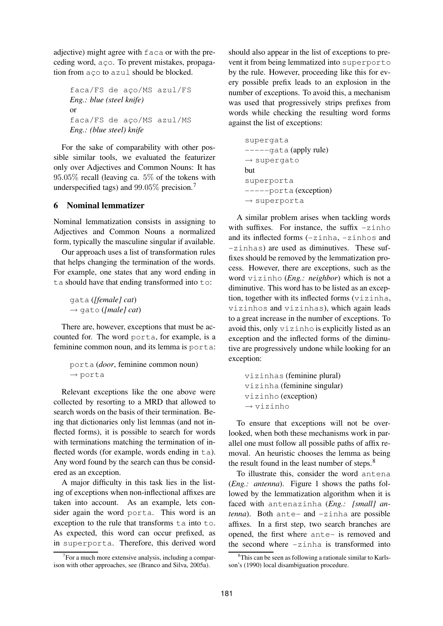adjective) might agree with faca or with the preceding word, a co. To prevent mistakes, propagation from a co to azul should be blocked.

faca/FS de aço/MS azul/FS *Eng.: blue (steel knife)* or faca/FS de ac¸o/MS azul/MS *Eng.: (blue steel) knife*

For the sake of comparability with other possible similar tools, we evaluated the featurizer only over Adjectives and Common Nouns: It has <sup>95</sup>.05% recall (leaving ca. 5% of the tokens with underspecified tags) and <sup>99</sup>.05% precision.<sup>7</sup>

# **6 Nominal lemmatizer**

Nominal lemmatization consists in assigning to Adjectives and Common Nouns a normalized form, typically the masculine singular if available.

Our approach uses a list of transformation rules that helps changing the termination of the words. For example, one states that any word ending in ta should have that ending transformed into to:

gata (*[female] cat*) → gato (*[male] cat*)

There are, however, exceptions that must be accounted for. The word porta, for example, is a feminine common noun, and its lemma is porta:

```
porta (door, feminine common noun)
\rightarrow porta
```
Relevant exceptions like the one above were collected by resorting to a MRD that allowed to search words on the basis of their termination. Being that dictionaries only list lemmas (and not inflected forms), it is possible to search for words with terminations matching the termination of inflected words (for example, words ending in  $ta$ ). Any word found by the search can thus be considered as an exception.

A major difficulty in this task lies in the listing of exceptions when non-inflectional affixes are taken into account. As an example, lets consider again the word porta. This word is an exception to the rule that transforms ta into to. As expected, this word can occur prefixed, as in superporta. Therefore, this derived word should also appear in the list of exceptions to prevent it from being lemmatized into superporto by the rule. However, proceeding like this for every possible prefix leads to an explosion in the number of exceptions. To avoid this, a mechanism was used that progressively strips prefixes from words while checking the resulting word forms against the list of exceptions:

```
supergata
-----gata (apply rule)
\rightarrow supergato
but
superporta
-----porta (exception)
\rightarrow superporta
```
A similar problem arises when tackling words with suffixes. For instance, the suffix  $-z$  inhomorphies and its inflected forms (-zinha, -zinhos and -zinhas) are used as diminutives. These suffixes should be removed by the lemmatization process. However, there are exceptions, such as the word vizinho (*Eng.: neighbor*) which is not a diminutive. This word has to be listed as an exception, together with its inflected forms (vizinha, vizinhos and vizinhas), which again leads to a great increase in the number of exceptions. To avoid this, only vizinho is explicitly listed as an exception and the inflected forms of the diminutive are progressively undone while looking for an exception:

vizinhas (feminine plural) vizinha (feminine singular) vizinho (exception)  $\rightarrow$  vizinho

To ensure that exceptions will not be overlooked, when both these mechanisms work in parallel one must follow all possible paths of affix removal. An heuristic chooses the lemma as being the result found in the least number of steps. $8$ 

To illustrate this, consider the word antena (*Eng.: antenna*). Figure 1 shows the paths followed by the lemmatization algorithm when it is faced with antenazinha (*Eng.: [small] antenna*). Both ante- and -zinha are possible affixes. In a first step, two search branches are opened, the first where ante- is removed and the second where -zinha is transformed into

<sup>&</sup>lt;sup>7</sup>For a much more extensive analysis, including a comparison with other approaches, see (Branco and Silva, 2005a).

<sup>&</sup>lt;sup>8</sup>This can be seen as following a rationale similar to Karlsson's (1990) local disambiguation procedure.